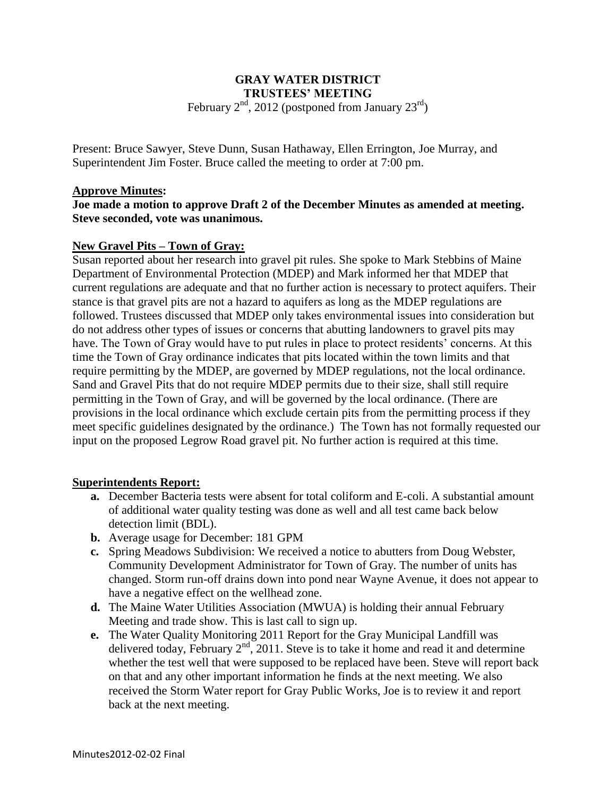# **GRAY WATER DISTRICT TRUSTEES' MEETING**

February  $2<sup>nd</sup>$ , 2012 (postponed from January  $23<sup>rd</sup>$ )

Present: Bruce Sawyer, Steve Dunn, Susan Hathaway, Ellen Errington, Joe Murray, and Superintendent Jim Foster. Bruce called the meeting to order at 7:00 pm.

## **Approve Minutes:**

**Joe made a motion to approve Draft 2 of the December Minutes as amended at meeting. Steve seconded, vote was unanimous.**

# **New Gravel Pits – Town of Gray:**

Susan reported about her research into gravel pit rules. She spoke to Mark Stebbins of Maine Department of Environmental Protection (MDEP) and Mark informed her that MDEP that current regulations are adequate and that no further action is necessary to protect aquifers. Their stance is that gravel pits are not a hazard to aquifers as long as the MDEP regulations are followed. Trustees discussed that MDEP only takes environmental issues into consideration but do not address other types of issues or concerns that abutting landowners to gravel pits may have. The Town of Gray would have to put rules in place to protect residents' concerns. At this time the Town of Gray ordinance indicates that pits located within the town limits and that require permitting by the MDEP, are governed by MDEP regulations, not the local ordinance. Sand and Gravel Pits that do not require MDEP permits due to their size, shall still require permitting in the Town of Gray, and will be governed by the local ordinance. (There are provisions in the local ordinance which exclude certain pits from the permitting process if they meet specific guidelines designated by the ordinance.) The Town has not formally requested our input on the proposed Legrow Road gravel pit. No further action is required at this time.

## **Superintendents Report:**

- **a.** December Bacteria tests were absent for total coliform and E-coli. A substantial amount of additional water quality testing was done as well and all test came back below detection limit (BDL).
- **b.** Average usage for December: 181 GPM
- **c.** Spring Meadows Subdivision: We received a notice to abutters from Doug Webster, Community Development Administrator for Town of Gray. The number of units has changed. Storm run-off drains down into pond near Wayne Avenue, it does not appear to have a negative effect on the wellhead zone.
- **d.** The Maine Water Utilities Association (MWUA) is holding their annual February Meeting and trade show. This is last call to sign up.
- **e.** The Water Quality Monitoring 2011 Report for the Gray Municipal Landfill was delivered today, February  $2<sup>nd</sup>$ , 2011. Steve is to take it home and read it and determine whether the test well that were supposed to be replaced have been. Steve will report back on that and any other important information he finds at the next meeting. We also received the Storm Water report for Gray Public Works, Joe is to review it and report back at the next meeting.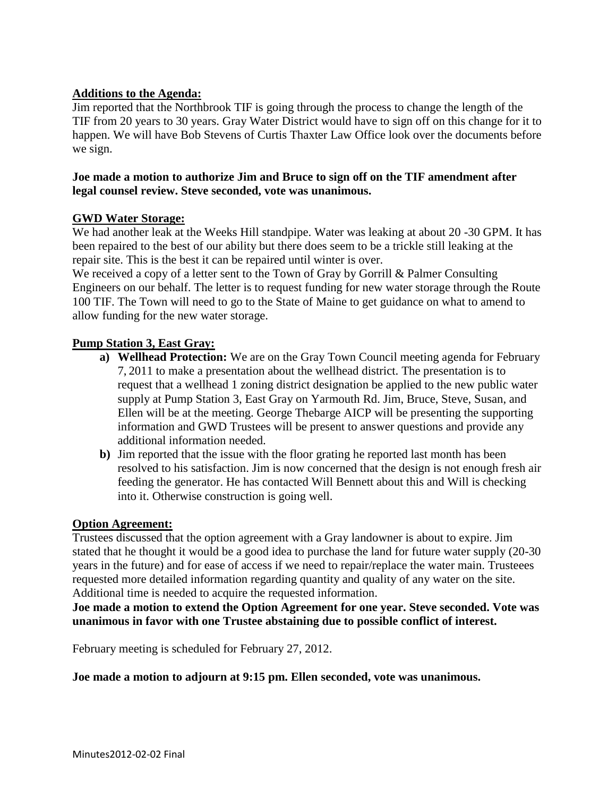# **Additions to the Agenda:**

Jim reported that the Northbrook TIF is going through the process to change the length of the TIF from 20 years to 30 years. Gray Water District would have to sign off on this change for it to happen. We will have Bob Stevens of Curtis Thaxter Law Office look over the documents before we sign.

## **Joe made a motion to authorize Jim and Bruce to sign off on the TIF amendment after legal counsel review. Steve seconded, vote was unanimous.**

## **GWD Water Storage:**

We had another leak at the Weeks Hill standpipe. Water was leaking at about 20 -30 GPM. It has been repaired to the best of our ability but there does seem to be a trickle still leaking at the repair site. This is the best it can be repaired until winter is over.

We received a copy of a letter sent to the Town of Gray by Gorrill & Palmer Consulting Engineers on our behalf. The letter is to request funding for new water storage through the Route 100 TIF. The Town will need to go to the State of Maine to get guidance on what to amend to allow funding for the new water storage.

# **Pump Station 3, East Gray:**

- **a) Wellhead Protection:** We are on the Gray Town Council meeting agenda for February 7, 2011 to make a presentation about the wellhead district. The presentation is to request that a wellhead 1 zoning district designation be applied to the new public water supply at Pump Station 3, East Gray on Yarmouth Rd. Jim, Bruce, Steve, Susan, and Ellen will be at the meeting. George Thebarge AICP will be presenting the supporting information and GWD Trustees will be present to answer questions and provide any additional information needed.
- **b)** Jim reported that the issue with the floor grating he reported last month has been resolved to his satisfaction. Jim is now concerned that the design is not enough fresh air feeding the generator. He has contacted Will Bennett about this and Will is checking into it. Otherwise construction is going well.

## **Option Agreement:**

Trustees discussed that the option agreement with a Gray landowner is about to expire. Jim stated that he thought it would be a good idea to purchase the land for future water supply (20-30 years in the future) and for ease of access if we need to repair/replace the water main. Trusteees requested more detailed information regarding quantity and quality of any water on the site. Additional time is needed to acquire the requested information.

**Joe made a motion to extend the Option Agreement for one year. Steve seconded. Vote was unanimous in favor with one Trustee abstaining due to possible conflict of interest.** 

February meeting is scheduled for February 27, 2012.

## **Joe made a motion to adjourn at 9:15 pm. Ellen seconded, vote was unanimous.**